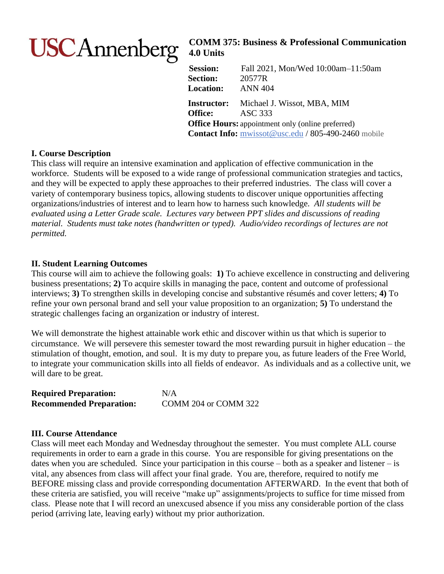# **USCAnnenberg**

# **COMM 375: Business & Professional Communication 4.0 Units**

**Session:** Fall 2021, Mon/Wed 10:00am–11:50am **Section:** 20577R **Location:** ANN 404 **Instructor:** Michael J. Wissot, MBA, MIM **Office:** ASC 333 **Office Hours:** appointment only (online preferred) **Contact Info:** [mwissot@usc.edu](mailto:mwissot@usc.edu) / 805-490-2460 mobile

# **I. Course Description**

This class will require an intensive examination and application of effective communication in the workforce. Students will be exposed to a wide range of professional communication strategies and tactics, and they will be expected to apply these approaches to their preferred industries. The class will cover a variety of contemporary business topics, allowing students to discover unique opportunities affecting organizations/industries of interest and to learn how to harness such knowledge. *All students will be evaluated using a Letter Grade scale. Lectures vary between PPT slides and discussions of reading material. Students must take notes (handwritten or typed). Audio/video recordings of lectures are not permitted.*

# **II. Student Learning Outcomes**

This course will aim to achieve the following goals: **1)** To achieve excellence in constructing and delivering business presentations; **2)** To acquire skills in managing the pace, content and outcome of professional interviews; **3)** To strengthen skills in developing concise and substantive résumés and cover letters; **4)** To refine your own personal brand and sell your value proposition to an organization; **5)** To understand the strategic challenges facing an organization or industry of interest.

We will demonstrate the highest attainable work ethic and discover within us that which is superior to circumstance. We will persevere this semester toward the most rewarding pursuit in higher education – the stimulation of thought, emotion, and soul. It is my duty to prepare you, as future leaders of the Free World, to integrate your communication skills into all fields of endeavor. As individuals and as a collective unit, we will dare to be great.

| <b>Required Preparation:</b>    | N/A                  |
|---------------------------------|----------------------|
| <b>Recommended Preparation:</b> | COMM 204 or COMM 322 |

# **III. Course Attendance**

Class will meet each Monday and Wednesday throughout the semester. You must complete ALL course requirements in order to earn a grade in this course. You are responsible for giving presentations on the dates when you are scheduled. Since your participation in this course – both as a speaker and listener – is vital, any absences from class will affect your final grade. You are, therefore, required to notify me BEFORE missing class and provide corresponding documentation AFTERWARD. In the event that both of these criteria are satisfied, you will receive "make up" assignments/projects to suffice for time missed from class. Please note that I will record an unexcused absence if you miss any considerable portion of the class period (arriving late, leaving early) without my prior authorization.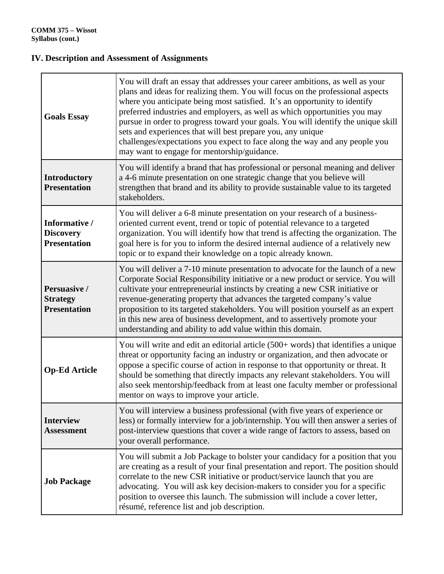# **IV. Description and Assessment of Assignments**

| <b>Goals Essay</b>                                       | You will draft an essay that addresses your career ambitions, as well as your<br>plans and ideas for realizing them. You will focus on the professional aspects<br>where you anticipate being most satisfied. It's an opportunity to identify<br>preferred industries and employers, as well as which opportunities you may<br>pursue in order to progress toward your goals. You will identify the unique skill<br>sets and experiences that will best prepare you, any unique<br>challenges/expectations you expect to face along the way and any people you<br>may want to engage for mentorship/guidance. |
|----------------------------------------------------------|---------------------------------------------------------------------------------------------------------------------------------------------------------------------------------------------------------------------------------------------------------------------------------------------------------------------------------------------------------------------------------------------------------------------------------------------------------------------------------------------------------------------------------------------------------------------------------------------------------------|
| <b>Introductory</b><br><b>Presentation</b>               | You will identify a brand that has professional or personal meaning and deliver<br>a 4-6 minute presentation on one strategic change that you believe will<br>strengthen that brand and its ability to provide sustainable value to its targeted<br>stakeholders.                                                                                                                                                                                                                                                                                                                                             |
| Informative /<br><b>Discovery</b><br><b>Presentation</b> | You will deliver a 6-8 minute presentation on your research of a business-<br>oriented current event, trend or topic of potential relevance to a targeted<br>organization. You will identify how that trend is affecting the organization. The<br>goal here is for you to inform the desired internal audience of a relatively new<br>topic or to expand their knowledge on a topic already known.                                                                                                                                                                                                            |
| Persuasive /<br><b>Strategy</b><br><b>Presentation</b>   | You will deliver a 7-10 minute presentation to advocate for the launch of a new<br>Corporate Social Responsibility initiative or a new product or service. You will<br>cultivate your entrepreneurial instincts by creating a new CSR initiative or<br>revenue-generating property that advances the targeted company's value<br>proposition to its targeted stakeholders. You will position yourself as an expert<br>in this new area of business development, and to assertively promote your<br>understanding and ability to add value within this domain.                                                 |
| <b>Op-Ed Article</b>                                     | You will write and edit an editorial article (500+ words) that identifies a unique<br>threat or opportunity facing an industry or organization, and then advocate or<br>oppose a specific course of action in response to that opportunity or threat. It<br>should be something that directly impacts any relevant stakeholders. You will<br>also seek mentorship/feedback from at least one faculty member or professional<br>mentor on ways to improve your article.                                                                                                                                        |
| <b>Interview</b><br><b>Assessment</b>                    | You will interview a business professional (with five years of experience or<br>less) or formally interview for a job/internship. You will then answer a series of<br>post-interview questions that cover a wide range of factors to assess, based on<br>your overall performance.                                                                                                                                                                                                                                                                                                                            |
| <b>Job Package</b>                                       | You will submit a Job Package to bolster your candidacy for a position that you<br>are creating as a result of your final presentation and report. The position should<br>correlate to the new CSR initiative or product/service launch that you are<br>advocating. You will ask key decision-makers to consider you for a specific<br>position to oversee this launch. The submission will include a cover letter,<br>résumé, reference list and job description.                                                                                                                                            |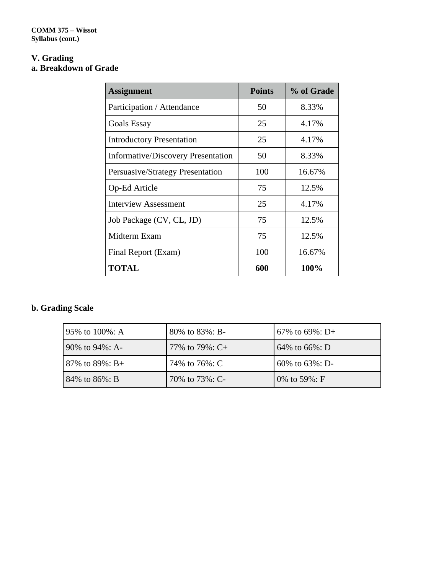# **V. Grading a. Breakdown of Grade**

| <b>Assignment</b>                         | <b>Points</b> | % of Grade |
|-------------------------------------------|---------------|------------|
| Participation / Attendance                | 50            | 8.33%      |
| <b>Goals Essay</b>                        | 25            | 4.17%      |
| <b>Introductory Presentation</b>          | 25            | 4.17%      |
| <b>Informative/Discovery Presentation</b> | 50            | 8.33%      |
| Persuasive/Strategy Presentation          | 100           | 16.67%     |
| Op-Ed Article                             | 75            | 12.5%      |
| <b>Interview Assessment</b>               | 25            | 4.17%      |
| Job Package (CV, CL, JD)                  | 75            | 12.5%      |
| Midterm Exam                              | 75            | 12.5%      |
| Final Report (Exam)                       | 100           | 16.67%     |
| <b>TOTAL</b>                              | 600           | 100%       |

# **b. Grading Scale**

| 95% to 100%: A      | 80% to 83%: B-     | 67\% to 69\%: $D+$ |
|---------------------|--------------------|--------------------|
| 90\% to $94\%$ : A- | 77\% to 79\%: $C+$ | 64\% to 66\%: D    |
| 87\% to 89\%: B+    | 74% to 76%: C      | 60% to $63\%$ : D- |
| 84\% to 86\%: B     | 70% to 73%: C-     | 0% to 59%: F       |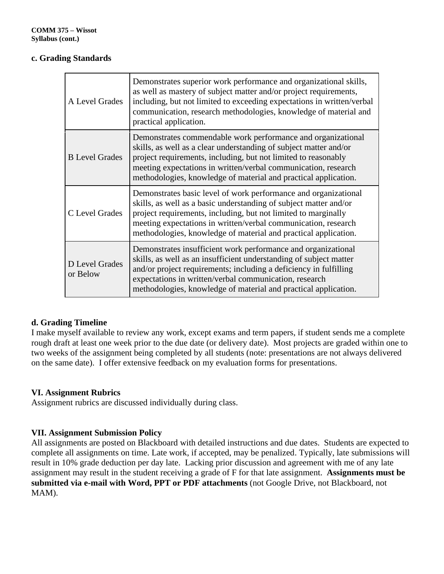# **c. Grading Standards**

| A Level Grades             | Demonstrates superior work performance and organizational skills,<br>as well as mastery of subject matter and/or project requirements,<br>including, but not limited to exceeding expectations in written/verbal<br>communication, research methodologies, knowledge of material and<br>practical application.                              |
|----------------------------|---------------------------------------------------------------------------------------------------------------------------------------------------------------------------------------------------------------------------------------------------------------------------------------------------------------------------------------------|
| <b>B</b> Level Grades      | Demonstrates commendable work performance and organizational<br>skills, as well as a clear understanding of subject matter and/or<br>project requirements, including, but not limited to reasonably<br>meeting expectations in written/verbal communication, research<br>methodologies, knowledge of material and practical application.    |
| C Level Grades             | Demonstrates basic level of work performance and organizational<br>skills, as well as a basic understanding of subject matter and/or<br>project requirements, including, but not limited to marginally<br>meeting expectations in written/verbal communication, research<br>methodologies, knowledge of material and practical application. |
| D Level Grades<br>or Below | Demonstrates insufficient work performance and organizational<br>skills, as well as an insufficient understanding of subject matter<br>and/or project requirements; including a deficiency in fulfilling<br>expectations in written/verbal communication, research<br>methodologies, knowledge of material and practical application.       |

# **d. Grading Timeline**

I make myself available to review any work, except exams and term papers, if student sends me a complete rough draft at least one week prior to the due date (or delivery date). Most projects are graded within one to two weeks of the assignment being completed by all students (note: presentations are not always delivered on the same date). I offer extensive feedback on my evaluation forms for presentations.

# **VI. Assignment Rubrics**

Assignment rubrics are discussed individually during class.

# **VII. Assignment Submission Policy**

All assignments are posted on Blackboard with detailed instructions and due dates. Students are expected to complete all assignments on time. Late work, if accepted, may be penalized. Typically, late submissions will result in 10% grade deduction per day late. Lacking prior discussion and agreement with me of any late assignment may result in the student receiving a grade of F for that late assignment. **Assignments must be submitted via e-mail with Word, PPT or PDF attachments** (not Google Drive, not Blackboard, not MAM).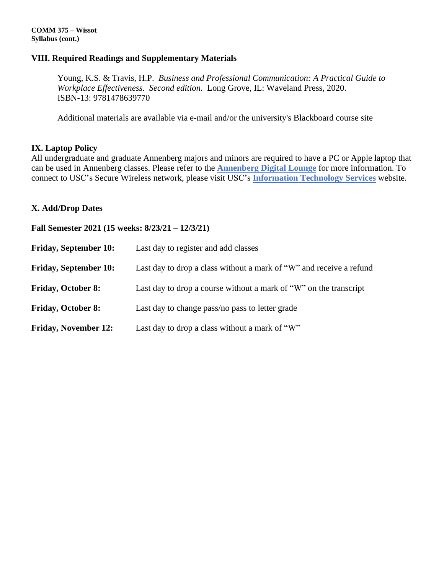#### **VIII. Required Readings and Supplementary Materials**

Young, K.S. & Travis, H.P. *Business and Professional Communication: A Practical Guide to Workplace Effectiveness. Second edition.* Long Grove, IL: Waveland Press, 2020. ISBN-13: 9781478639770

Additional materials are available via e-mail and/or the university's Blackboard course site

#### **IX. Laptop Policy**

All undergraduate and graduate Annenberg majors and minors are required to have a PC or Apple laptop that can be used in Annenberg classes. Please refer to the **[Annenberg](http://www.annenbergdl.org/) Digital Lounge** for more information. To connect to USC's Secure Wireless network, please visit USC's **[Information](http://itservices.usc.edu/wireless/support/) Technology Services** website.

#### **X. Add/Drop Dates**

**Fall Semester 2021 (15 weeks: 8/23/21 – 12/3/21)**

| <b>Friday, September 10:</b> | Last day to register and add classes                                |
|------------------------------|---------------------------------------------------------------------|
| <b>Friday, September 10:</b> | Last day to drop a class without a mark of "W" and receive a refund |
| <b>Friday, October 8:</b>    | Last day to drop a course without a mark of "W" on the transcript   |
| <b>Friday, October 8:</b>    | Last day to change pass/no pass to letter grade                     |
| <b>Friday, November 12:</b>  | Last day to drop a class without a mark of "W"                      |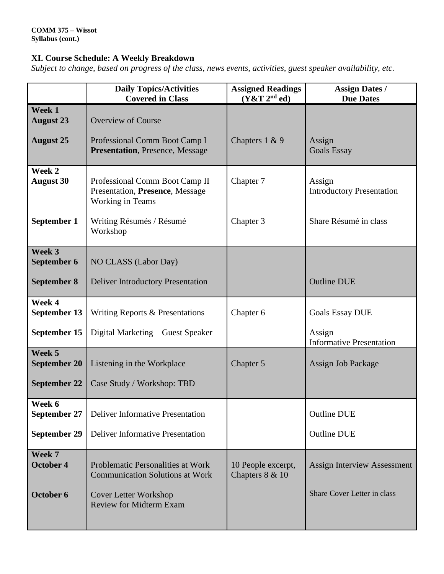# **XI. Course Schedule: A Weekly Breakdown**

*Subject to change, based on progress of the class, news events, activities, guest speaker availability, etc.*

|                               | <b>Daily Topics/Activities</b><br><b>Covered in Class</b>                             | <b>Assigned Readings</b><br>(Y&T 2 <sup>nd</sup> ed) | <b>Assign Dates /</b><br><b>Due Dates</b>  |
|-------------------------------|---------------------------------------------------------------------------------------|------------------------------------------------------|--------------------------------------------|
| Week 1<br><b>August 23</b>    | <b>Overview of Course</b>                                                             |                                                      |                                            |
| <b>August 25</b>              | Professional Comm Boot Camp I<br><b>Presentation</b> , Presence, Message              | Chapters 1 & 9                                       | Assign<br><b>Goals Essay</b>               |
| Week 2<br><b>August 30</b>    | Professional Comm Boot Camp II<br>Presentation, Presence, Message<br>Working in Teams | Chapter 7                                            | Assign<br><b>Introductory Presentation</b> |
| September 1                   | Writing Résumés / Résumé<br>Workshop                                                  | Chapter 3                                            | Share Résumé in class                      |
| Week 3<br>September 6         | NO CLASS (Labor Day)                                                                  |                                                      |                                            |
| <b>September 8</b>            | <b>Deliver Introductory Presentation</b>                                              |                                                      | <b>Outline DUE</b>                         |
| Week 4<br>September 13        | Writing Reports & Presentations                                                       | Chapter 6                                            | <b>Goals Essay DUE</b>                     |
| September 15                  | Digital Marketing – Guest Speaker                                                     |                                                      | Assign<br><b>Informative Presentation</b>  |
| Week 5<br><b>September 20</b> | Listening in the Workplace                                                            | Chapter 5                                            | Assign Job Package                         |
| <b>September 22</b>           | Case Study / Workshop: TBD                                                            |                                                      |                                            |
| Week 6<br>September 27        | <b>Deliver Informative Presentation</b>                                               |                                                      | <b>Outline DUE</b>                         |
| <b>September 29</b>           | <b>Deliver Informative Presentation</b>                                               |                                                      | <b>Outline DUE</b>                         |
| Week 7<br>October 4           | Problematic Personalities at Work<br><b>Communication Solutions at Work</b>           | 10 People excerpt,<br>Chapters 8 & 10                | <b>Assign Interview Assessment</b>         |
| October 6                     | <b>Cover Letter Workshop</b><br><b>Review for Midterm Exam</b>                        |                                                      | Share Cover Letter in class                |
|                               |                                                                                       |                                                      |                                            |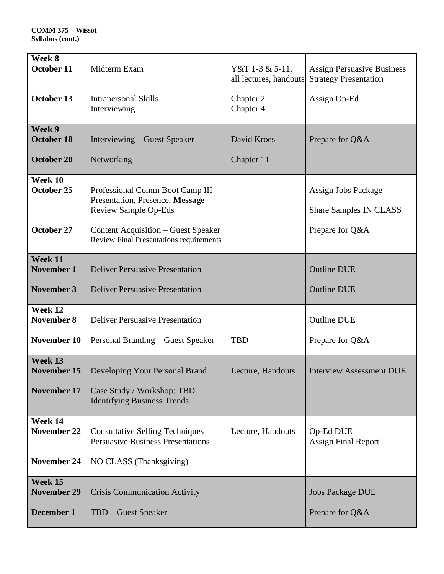| Week 8<br><b>October 11</b>           | Midterm Exam                                                                                                                                                                               | Y&T 1-3 & 5-11,<br>all lectures, handouts | <b>Assign Persuasive Business</b><br><b>Strategy Presentation</b>       |
|---------------------------------------|--------------------------------------------------------------------------------------------------------------------------------------------------------------------------------------------|-------------------------------------------|-------------------------------------------------------------------------|
| October 13                            | <b>Intrapersonal Skills</b><br>Interviewing                                                                                                                                                | Chapter 2<br>Chapter 4                    | Assign Op-Ed                                                            |
| Week 9<br><b>October 18</b>           | Interviewing – Guest Speaker                                                                                                                                                               | David Kroes                               | Prepare for Q&A                                                         |
| <b>October 20</b>                     | Networking                                                                                                                                                                                 | Chapter 11                                |                                                                         |
| Week 10<br>October 25<br>October 27   | Professional Comm Boot Camp III<br>Presentation, Presence, Message<br><b>Review Sample Op-Eds</b><br>Content Acquisition – Guest Speaker<br><b>Review Final Presentations requirements</b> |                                           | Assign Jobs Package<br><b>Share Samples IN CLASS</b><br>Prepare for Q&A |
| Week 11<br><b>November 1</b>          | <b>Deliver Persuasive Presentation</b>                                                                                                                                                     |                                           | <b>Outline DUE</b>                                                      |
| <b>November 3</b>                     | <b>Deliver Persuasive Presentation</b>                                                                                                                                                     |                                           | <b>Outline DUE</b>                                                      |
| Week 12<br>November 8                 | <b>Deliver Persuasive Presentation</b>                                                                                                                                                     |                                           | <b>Outline DUE</b>                                                      |
| <b>November 10</b>                    | Personal Branding – Guest Speaker                                                                                                                                                          | <b>TBD</b>                                | Prepare for Q&A                                                         |
| Week 13<br>November 15<br>November 17 | Developing Your Personal Brand<br>Case Study / Workshop: TBD<br><b>Identifying Business Trends</b>                                                                                         | Lecture, Handouts                         | <b>Interview Assessment DUE</b>                                         |
| Week 14                               |                                                                                                                                                                                            |                                           |                                                                         |
| <b>November 22</b>                    | <b>Consultative Selling Techniques</b><br><b>Persuasive Business Presentations</b>                                                                                                         | Lecture, Handouts                         | Op-Ed DUE<br><b>Assign Final Report</b>                                 |
| <b>November 24</b>                    | NO CLASS (Thanksgiving)                                                                                                                                                                    |                                           |                                                                         |
| Week 15<br><b>November 29</b>         | <b>Crisis Communication Activity</b>                                                                                                                                                       |                                           | <b>Jobs Package DUE</b>                                                 |
| December 1                            | TBD - Guest Speaker                                                                                                                                                                        |                                           | Prepare for Q&A                                                         |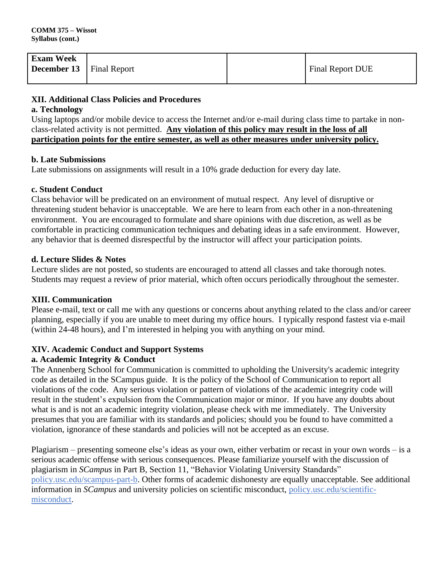| <b>Exam Week</b>                  |  |                         |
|-----------------------------------|--|-------------------------|
| <b>December 13</b>   Final Report |  | <b>Final Report DUE</b> |
|                                   |  |                         |

# **XII. Additional Class Policies and Procedures**

# **a. Technology**

Using laptops and/or mobile device to access the Internet and/or e-mail during class time to partake in nonclass-related activity is not permitted. **Any violation of this policy may result in the loss of all participation points for the entire semester, as well as other measures under university policy.**

# **b. Late Submissions**

Late submissions on assignments will result in a 10% grade deduction for every day late.

# **c. Student Conduct**

Class behavior will be predicated on an environment of mutual respect. Any level of disruptive or threatening student behavior is unacceptable. We are here to learn from each other in a non-threatening environment. You are encouraged to formulate and share opinions with due discretion, as well as be comfortable in practicing communication techniques and debating ideas in a safe environment. However, any behavior that is deemed disrespectful by the instructor will affect your participation points.

# **d. Lecture Slides & Notes**

Lecture slides are not posted, so students are encouraged to attend all classes and take thorough notes. Students may request a review of prior material, which often occurs periodically throughout the semester.

#### **XIII. Communication**

Please e-mail, text or call me with any questions or concerns about anything related to the class and/or career planning, especially if you are unable to meet during my office hours. I typically respond fastest via e-mail (within 24-48 hours), and I'm interested in helping you with anything on your mind.

# **XIV. Academic Conduct and Support Systems**

# **a. Academic Integrity & Conduct**

The Annenberg School for Communication is committed to upholding the University's academic integrity code as detailed in the SCampus guide. It is the policy of the School of Communication to report all violations of the code. Any serious violation or pattern of violations of the academic integrity code will result in the student's expulsion from the Communication major or minor. If you have any doubts about what is and is not an academic integrity violation, please check with me immediately. The University presumes that you are familiar with its standards and policies; should you be found to have committed a violation, ignorance of these standards and policies will not be accepted as an excuse.

Plagiarism – presenting someone else's ideas as your own, either verbatim or recast in your own words – is a serious academic offense with serious consequences. Please familiarize yourself with the discussion of plagiarism in *SCampus* in Part B, Section 11, "Behavior Violating University Standards" [policy.usc.edu/scampus-part-b.](https://policy.usc.edu/scampus-part-b/) Other forms of academic dishonesty are equally unacceptable. See additional information in *SCampus* and university policies on scientific misconduct, [policy.usc.edu/scientific](http://policy.usc.edu/scientific-misconduct)[misconduct.](http://policy.usc.edu/scientific-misconduct)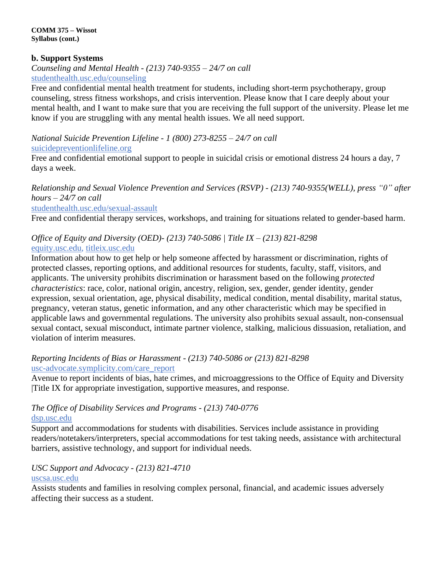# **b. Support Systems**

*Counseling and Mental Health - (213) 740-9355 – 24/7 on call* [studenthealth.usc.edu/counseling](https://studenthealth.usc.edu/counseling/)

Free and confidential mental health treatment for students, including short-term psychotherapy, group counseling, stress fitness workshops, and crisis intervention. Please know that I care deeply about your mental health, and I want to make sure that you are receiving the full support of the university. Please let me [kn](https://engemannshc.usc.edu/counseling/)ow if you are struggling with any mental health issues. We all need support.

*National Suicide Prevention Lifeline - 1 (800) 273-8255 – 24/7 on call*

# [suicidepreventionlifeline.org](http://www.suicidepreventionlifeline.org/)

Free and confidential emotional support to people in suicidal crisis or emotional distress 24 hours a day, 7 [da](http://www.suicidepreventionlifeline.org/)ys a week.

*Relationship and Sexual Violence Prevention and Services (RSVP) - (213) 740-9355(WELL), press "0" after hours – 24/7 on call*

#### [studenthealth.usc.edu/sexual-assault](https://studenthealth.usc.edu/sexual-assault/)

Free and confidential therapy services, workshops, and training for situations related to gender-based harm[.](https://engemannshc.usc.edu/rsvp/)

# *Office of Equity and Diversity (OED)- (213) 740-5086 | Title IX – (213) 821-8298*

# [equity.usc.edu,](https://equity.usc.edu/) [titleix.usc.edu](http://titleix.usc.edu/)

Information about how to get help or help someone affected by harassment or discrimination, rights of protected classes, reporting options, and additional resources for students, faculty, staff, visitors, and applicants. The university prohibits discrimination or harassment based on the following *protected characteristics*: race, color, national origin, ancestry, religion, sex, gender, gender identity, gender expression, sexual orientation, age, physical disability, medical condition, mental disability, marital status, pregnancy, veteran status, genetic information, and any other characteristic which may be specified in applicable laws and governmental regulations. The university also prohibits sexual assault, non-consensual sexual contact, sexual misconduct, intimate partner violence, stalking, malicious dissuasion, retaliation, and violation of interim measures.

# *Reporting Incidents of Bias or Harassment - (213) 740-5086 or (213) 821-8298* [usc-advocate.symplicity.com/care\\_report](https://usc-advocate.symplicity.com/care_report/)

Avenue to report incidents of bias, hate crimes, and microaggressions to the Office of Equity and Diversity |Title IX for appropriate investigation, supportive measures, and response[.](https://studentaffairs.usc.edu/bias-assessment-response-support/)

# *The Office of Disability Services and Programs - (213) 740-0776* [dsp.usc.edu](http://dsp.usc.edu/)

Support and accommodations for students with disabilities. Services include assistance in providing readers/notetakers/interpreters, special accommodations for test taking needs, assistance with architectural barriers, assistive technology, and support for individual needs.

# *USC Support and Advocacy - (213) 821-4710*

# [uscsa.usc.edu](https://uscsa.usc.edu/)

Assists students and families in resolving complex personal, financial, and academic issues adversely affecting their success as a student.